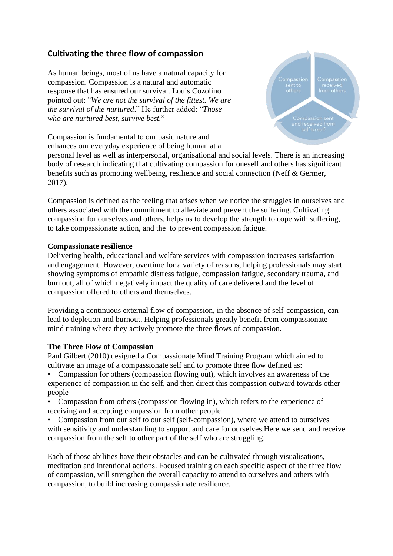# **Cultivating the three flow of compassion**

As human beings, most of us have a natural capacity for compassion. Compassion is a natural and automatic response that has ensured our survival. Louis Cozolino pointed out: "*We are not the survival of the fittest. We are the survival of the nurtured*." He further added: "*Those who are nurtured best, survive best.*"

Compassion is fundamental to our basic nature and enhances our everyday experience of being human at a



personal level as well as interpersonal, organisational and social levels. There is an increasing body of research indicating that cultivating compassion for oneself and others has significant benefits such as promoting wellbeing, resilience and social connection (Neff & Germer, 2017).

Compassion is defined as the feeling that arises when we notice the struggles in ourselves and others associated with the commitment to alleviate and prevent the suffering. Cultivating compassion for ourselves and others, helps us to develop the strength to cope with suffering, to take compassionate action, and the to prevent compassion fatigue.

## **Compassionate resilience**

Delivering health, educational and welfare services with compassion increases satisfaction and engagement. However, overtime for a variety of reasons, helping professionals may start showing symptoms of empathic distress fatigue, compassion fatigue, secondary trauma, and burnout, all of which negatively impact the quality of care delivered and the level of compassion offered to others and themselves.

Providing a continuous external flow of compassion, in the absence of self-compassion, can lead to depletion and burnout. Helping professionals greatly benefit from compassionate mind training where they actively promote the three flows of compassion.

# **The Three Flow of Compassion**

Paul Gilbert (2010) designed a Compassionate Mind Training Program which aimed to cultivate an image of a compassionate self and to promote three flow defined as:

• Compassion for others (compassion flowing out), which involves an awareness of the experience of compassion in the self, and then direct this compassion outward towards other people

- Compassion from others (compassion flowing in), which refers to the experience of receiving and accepting compassion from other people
- Compassion from our self to our self (self-compassion), where we attend to ourselves with sensitivity and understanding to support and care for ourselves.Here we send and receive compassion from the self to other part of the self who are struggling.

Each of those abilities have their obstacles and can be cultivated through visualisations, meditation and intentional actions. Focused training on each specific aspect of the three flow of compassion, will strengthen the overall capacity to attend to ourselves and others with compassion, to build increasing compassionate resilience.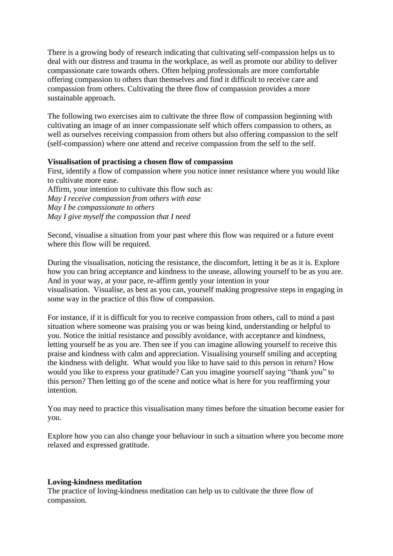There is a growing body of research indicating that cultivating self-compassion helps us to deal with our distress and trauma in the workplace, as well as promote our ability to deliver compassionate care towards others. Often helping professionals are more comfortable offering compassion to others than themselves and find it difficult to receive care and compassion from others. Cultivating the three flow of compassion provides a more sustainable approach.

The following two exercises aim to cultivate the three flow of compassion beginning with cultivating an image of an inner compassionate self which offers compassion to others, as well as ourselves receiving compassion from others but also offering compassion to the self (self-compassion) where one attend and receive compassion from the self to the self.

## **Visualisation of practising a chosen flow of compassion**

First, identify a flow of compassion where you notice inner resistance where you would like to cultivate more ease.

Affirm, your intention to cultivate this flow such as: *May I receive compassion from others with ease May I be compassionate to others May I give myself the compassion that I need*

Second, visualise a situation from your past where this flow was required or a future event where this flow will be required.

During the visualisation, noticing the resistance, the discomfort, letting it be as it is. Explore how you can bring acceptance and kindness to the unease, allowing yourself to be as you are. And in your way, at your pace, re-affirm gently your intention in your visualisation. Visualise, as best as you can, yourself making progressive steps in engaging in some way in the practice of this flow of compassion.

For instance, if it is difficult for you to receive compassion from others, call to mind a past situation where someone was praising you or was being kind, understanding or helpful to you. Notice the initial resistance and possibly avoidance, with acceptance and kindness, letting yourself be as you are. Then see if you can imagine allowing yourself to receive this praise and kindness with calm and appreciation. Visualising yourself smiling and accepting the kindness with delight. What would you like to have said to this person in return? How would you like to express your gratitude? Can you imagine yourself saying "thank you" to this person? Then letting go of the scene and notice what is here for you reaffirming your intention.

You may need to practice this visualisation many times before the situation become easier for you.

Explore how you can also change your behaviour in such a situation where you become more relaxed and expressed gratitude.

#### **Loving-kindness meditation**

The practice of loving-kindness meditation can help us to cultivate the three flow of compassion.